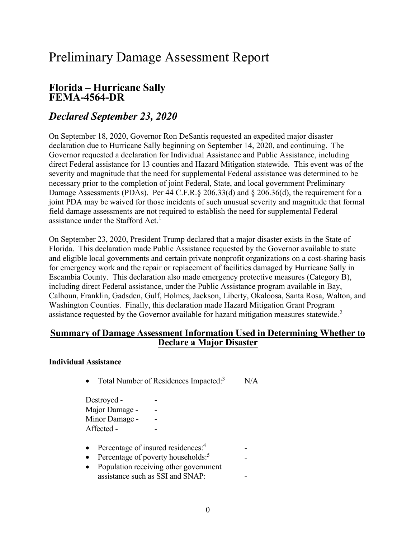## Preliminary Damage Assessment Report

# Florida – Hurricane Sally FEMA-4564-DR

### Declared September 23, 2020

 On September 18, 2020, Governor Ron DeSantis requested an expedited major disaster declaration due to Hurricane Sally beginning on September 14, 2020, and continuing. The Governor requested a declaration for Individual Assistance and Public Assistance, including direct Federal assistance for 13 counties and Hazard Mitigation statewide. This event was of the severity and magnitude that the need for supplemental Federal assistance was determined to be necessary prior to the completion of joint Federal, State, and local government Preliminary Damage Assessments (PDAs). Per 44 C.F.R.§ 206.33(d) and § 206.36(d), the requirement for a joint PDA may be waived for those incidents of such unusual severity and magnitude that formal field damage assessments are not required to establish the need for supplemental Federal assistance under the Stafford Act.<sup>1</sup>

 On September 23, 2020, President Trump declared that a major disaster exists in the State of Florida. This declaration made Public Assistance requested by the Governor available to state and eligible local governments and certain private nonprofit organizations on a cost-sharing basis for emergency work and the repair or replacement of facilities damaged by Hurricane Sally in Escambia County. This declaration also made emergency protective measures (Category B), including direct Federal assistance, under the Public Assistance program available in Bay, Calhoun, Franklin, Gadsden, Gulf, Holmes, Jackson, Liberty, Okaloosa, Santa Rosa, Walton, and Washington Counties. Finally, this declaration made Hazard Mitigation Grant Program assistance requested by the Governor available for hazard mitigation measures statewide.<sup>2</sup>

#### Summary of Damage Assessment Information Used in Determining Whether to Declare a Major Disaster

#### Individual Assistance

• Total Number of Residences Impacted: $3$  N/A

Destroyed - The set of the set of the set of the set of the set of the set of the set of the set of the set of the set of the set of the set of the set of the set of the set of the set of the set of the set of the set of t Major Damage - Theory Minor Damage - The -Affected - The set of  $\sim$ 

- Percentage of insured residences: $4$  -
- Percentage of poverty households: $5$  -
- Population receiving other government assistance such as SSI and SNAP: -